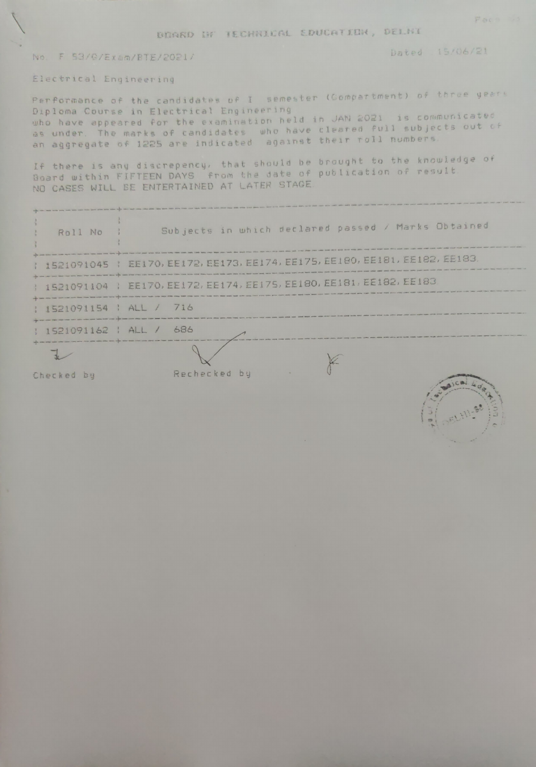BOARD IN TECHNICAL EDUCATION, DELNI

## No. F 53/G/Exam/BTE/2021/

Dated 15/06/21

Electrical Engineering

Performance of the candidates of I semester (Gompartment) of three years Diploma Course in Electrical Engineering who have appeared for the examination held in JAN 2021 is communicated as under. The marks of candidates who have cleared full subjects out of

If there is any discrepency, that should be brought to the knowledge of Board within FIFTEEN DAYS from the date of publication of result. NO CASES WILL BE ENTERTAINED AT LATER STAGE

| and a control most count party north with hims dates above when your sales and a short that come a data given<br>Roll No | Subjects in which declared passed / Marks Obtained                                                                                                                                                                                                          |
|--------------------------------------------------------------------------------------------------------------------------|-------------------------------------------------------------------------------------------------------------------------------------------------------------------------------------------------------------------------------------------------------------|
|                                                                                                                          | and your sole was one were new more paid less best your your andy your two your wide was took more come can be here, you have you have you have the state and the products<br>1 1521091045   EE170, EE172, EE173, EE174, EE175, EE180, EE181, EE182, EE183, |
|                                                                                                                          | superiors your team them have been paid your color teles have also superiors area into use to see them them there was them with them and them them them<br>  1521091104   EE170, EE172, EE174, EE175, EE180, EE181, EE182, EE183                            |
| copy have need that there will not the most form of the state of the state of the state of<br>: 1521091154 : ALL / 716   |                                                                                                                                                                                                                                                             |
| : 1521091162 : ALL / 686                                                                                                 |                                                                                                                                                                                                                                                             |
|                                                                                                                          |                                                                                                                                                                                                                                                             |

 $\theta$ 

Checked by

Rechecked by